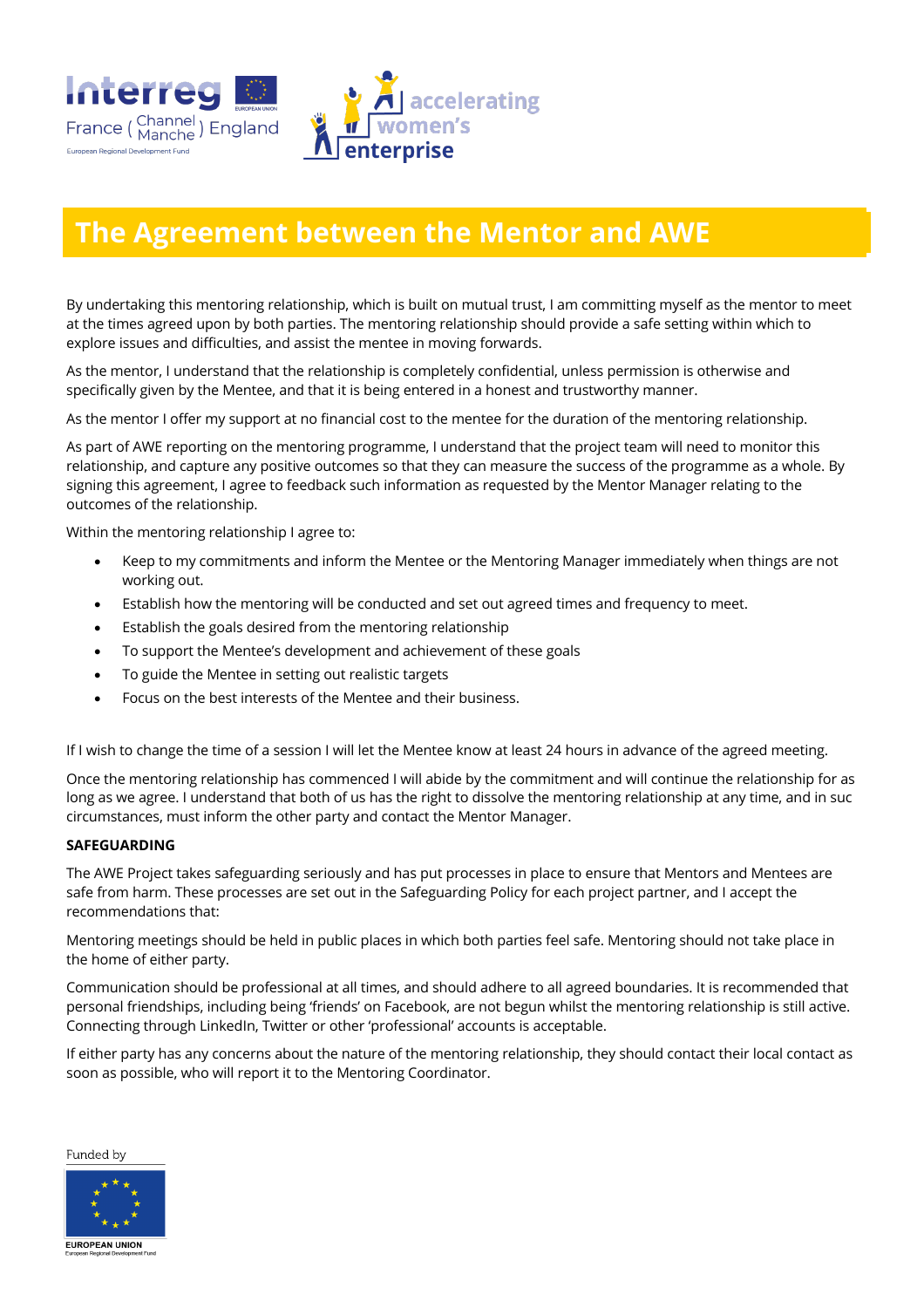

## **The Agreement between the Mentor and AWE**

By undertaking this mentoring relationship, which is built on mutual trust, I am committing myself as the mentor to meet at the times agreed upon by both parties. The mentoring relationship should provide a safe setting within which to explore issues and difficulties, and assist the mentee in moving forwards.

As the mentor, I understand that the relationship is completely confidential, unless permission is otherwise and specifically given by the Mentee, and that it is being entered in a honest and trustworthy manner.

As the mentor I offer my support at no financial cost to the mentee for the duration of the mentoring relationship.

As part of AWE reporting on the mentoring programme, I understand that the project team will need to monitor this relationship, and capture any positive outcomes so that they can measure the success of the programme as a whole. By signing this agreement, I agree to feedback such information as requested by the Mentor Manager relating to the outcomes of the relationship.

Within the mentoring relationship I agree to:

- Keep to my commitments and inform the Mentee or the Mentoring Manager immediately when things are not working out.
- Establish how the mentoring will be conducted and set out agreed times and frequency to meet.
- Establish the goals desired from the mentoring relationship
- To support the Mentee's development and achievement of these goals
- To guide the Mentee in setting out realistic targets
- Focus on the best interests of the Mentee and their business.

If I wish to change the time of a session I will let the Mentee know at least 24 hours in advance of the agreed meeting.

Once the mentoring relationship has commenced I will abide by the commitment and will continue the relationship for as long as we agree. I understand that both of us has the right to dissolve the mentoring relationship at any time, and in suc circumstances, must inform the other party and contact the Mentor Manager.

## **SAFEGUARDING**

European Regional Development Eund

The AWE Project takes safeguarding seriously and has put processes in place to ensure that Mentors and Mentees are safe from harm. These processes are set out in the Safeguarding Policy for each project partner, and I accept the recommendations that:

Mentoring meetings should be held in public places in which both parties feel safe. Mentoring should not take place in the home of either party.

Communication should be professional at all times, and should adhere to all agreed boundaries. It is recommended that personal friendships, including being 'friends' on Facebook, are not begun whilst the mentoring relationship is still active. Connecting through LinkedIn, Twitter or other 'professional' accounts is acceptable.

If either party has any concerns about the nature of the mentoring relationship, they should contact their local contact as soon as possible, who will report it to the Mentoring Coordinator.

Funded by